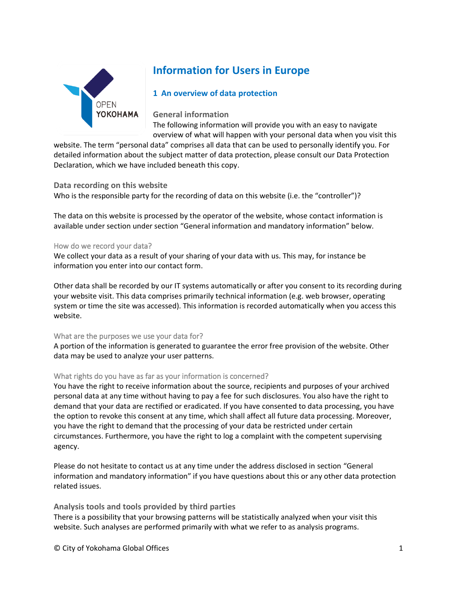

# **Information for Users in Europe**

# **1 An overview of data protection**

**General information**

The following information will provide you with an easy to navigate overview of what will happen with your personal data when you visit this

website. The term "personal data" comprises all data that can be used to personally identify you. For detailed information about the subject matter of data protection, please consult our Data Protection Declaration, which we have included beneath this copy.

## **Data recording on this website**

Who is the responsible party for the recording of data on this website (i.e. the "controller")?

The data on this website is processed by the operator of the website, whose contact information is available under section under section "General information and mandatory information" below.

#### How do we record your data?

We collect your data as a result of your sharing of your data with us. This may, for instance be information you enter into our contact form.

Other data shall be recorded by our IT systems automatically or after you consent to its recording during your website visit. This data comprises primarily technical information (e.g. web browser, operating system or time the site was accessed). This information is recorded automatically when you access this website.

## What are the purposes we use your data for?

A portion of the information is generated to guarantee the error free provision of the website. Other data may be used to analyze your user patterns.

## What rights do you have as far as your information is concerned?

You have the right to receive information about the source, recipients and purposes of your archived personal data at any time without having to pay a fee for such disclosures. You also have the right to demand that your data are rectified or eradicated. If you have consented to data processing, you have the option to revoke this consent at any time, which shall affect all future data processing. Moreover, you have the right to demand that the processing of your data be restricted under certain circumstances. Furthermore, you have the right to log a complaint with the competent supervising agency.

Please do not hesitate to contact us at any time under the address disclosed in section "General information and mandatory information" if you have questions about this or any other data protection related issues.

**Analysis tools and tools provided by third parties**

There is a possibility that your browsing patterns will be statistically analyzed when your visit this website. Such analyses are performed primarily with what we refer to as analysis programs.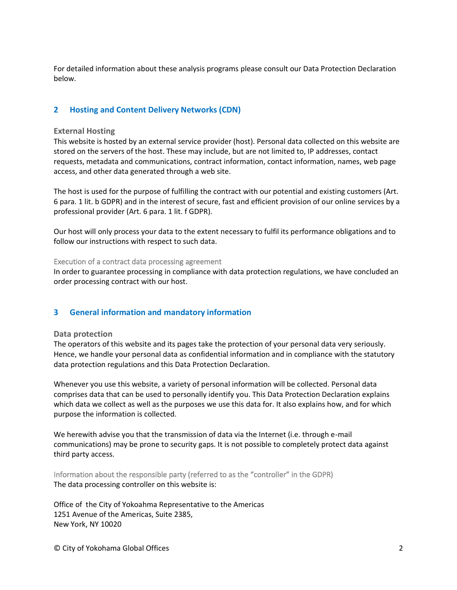For detailed information about these analysis programs please consult our Data Protection Declaration below.

# **2 Hosting and Content Delivery Networks (CDN)**

## **External Hosting**

This website is hosted by an external service provider (host). Personal data collected on this website are stored on the servers of the host. These may include, but are not limited to, IP addresses, contact requests, metadata and communications, contract information, contact information, names, web page access, and other data generated through a web site.

The host is used for the purpose of fulfilling the contract with our potential and existing customers (Art. 6 para. 1 lit. b GDPR) and in the interest of secure, fast and efficient provision of our online services by a professional provider (Art. 6 para. 1 lit. f GDPR).

Our host will only process your data to the extent necessary to fulfil its performance obligations and to follow our instructions with respect to such data.

Execution of a contract data processing agreement

In order to guarantee processing in compliance with data protection regulations, we have concluded an order processing contract with our host.

## **3 General information and mandatory information**

#### **Data protection**

The operators of this website and its pages take the protection of your personal data very seriously. Hence, we handle your personal data as confidential information and in compliance with the statutory data protection regulations and this Data Protection Declaration.

Whenever you use this website, a variety of personal information will be collected. Personal data comprises data that can be used to personally identify you. This Data Protection Declaration explains which data we collect as well as the purposes we use this data for. It also explains how, and for which purpose the information is collected.

We herewith advise you that the transmission of data via the Internet (i.e. through e-mail communications) may be prone to security gaps. It is not possible to completely protect data against third party access.

Information about the responsible party (referred to as the "controller" in the GDPR) The data processing controller on this website is:

Office of the City of Yokoahma Representative to the Americas 1251 Avenue of the Americas, Suite 2385, New York, NY 10020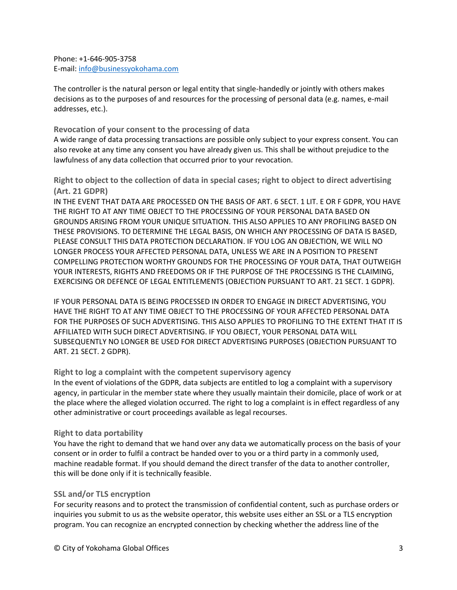Phone: +1-646-905-3758 E-mail[: info@businessyokohama.com](mailto:info@businessyokohama.com)

The controller is the natural person or legal entity that single-handedly or jointly with others makes decisions as to the purposes of and resources for the processing of personal data (e.g. names, e-mail addresses, etc.).

## **Revocation of your consent to the processing of data**

A wide range of data processing transactions are possible only subject to your express consent. You can also revoke at any time any consent you have already given us. This shall be without prejudice to the lawfulness of any data collection that occurred prior to your revocation.

**Right to object to the collection of data in special cases; right to object to direct advertising (Art. 21 GDPR)**

IN THE EVENT THAT DATA ARE PROCESSED ON THE BASIS OF ART. 6 SECT. 1 LIT. E OR F GDPR, YOU HAVE THE RIGHT TO AT ANY TIME OBJECT TO THE PROCESSING OF YOUR PERSONAL DATA BASED ON GROUNDS ARISING FROM YOUR UNIQUE SITUATION. THIS ALSO APPLIES TO ANY PROFILING BASED ON THESE PROVISIONS. TO DETERMINE THE LEGAL BASIS, ON WHICH ANY PROCESSING OF DATA IS BASED, PLEASE CONSULT THIS DATA PROTECTION DECLARATION. IF YOU LOG AN OBJECTION, WE WILL NO LONGER PROCESS YOUR AFFECTED PERSONAL DATA, UNLESS WE ARE IN A POSITION TO PRESENT COMPELLING PROTECTION WORTHY GROUNDS FOR THE PROCESSING OF YOUR DATA, THAT OUTWEIGH YOUR INTERESTS, RIGHTS AND FREEDOMS OR IF THE PURPOSE OF THE PROCESSING IS THE CLAIMING, EXERCISING OR DEFENCE OF LEGAL ENTITLEMENTS (OBJECTION PURSUANT TO ART. 21 SECT. 1 GDPR).

IF YOUR PERSONAL DATA IS BEING PROCESSED IN ORDER TO ENGAGE IN DIRECT ADVERTISING, YOU HAVE THE RIGHT TO AT ANY TIME OBJECT TO THE PROCESSING OF YOUR AFFECTED PERSONAL DATA FOR THE PURPOSES OF SUCH ADVERTISING. THIS ALSO APPLIES TO PROFILING TO THE EXTENT THAT IT IS AFFILIATED WITH SUCH DIRECT ADVERTISING. IF YOU OBJECT, YOUR PERSONAL DATA WILL SUBSEQUENTLY NO LONGER BE USED FOR DIRECT ADVERTISING PURPOSES (OBJECTION PURSUANT TO ART. 21 SECT. 2 GDPR).

## **Right to log a complaint with the competent supervisory agency**

In the event of violations of the GDPR, data subjects are entitled to log a complaint with a supervisory agency, in particular in the member state where they usually maintain their domicile, place of work or at the place where the alleged violation occurred. The right to log a complaint is in effect regardless of any other administrative or court proceedings available as legal recourses.

#### **Right to data portability**

You have the right to demand that we hand over any data we automatically process on the basis of your consent or in order to fulfil a contract be handed over to you or a third party in a commonly used, machine readable format. If you should demand the direct transfer of the data to another controller, this will be done only if it is technically feasible.

## **SSL and/or TLS encryption**

For security reasons and to protect the transmission of confidential content, such as purchase orders or inquiries you submit to us as the website operator, this website uses either an SSL or a TLS encryption program. You can recognize an encrypted connection by checking whether the address line of the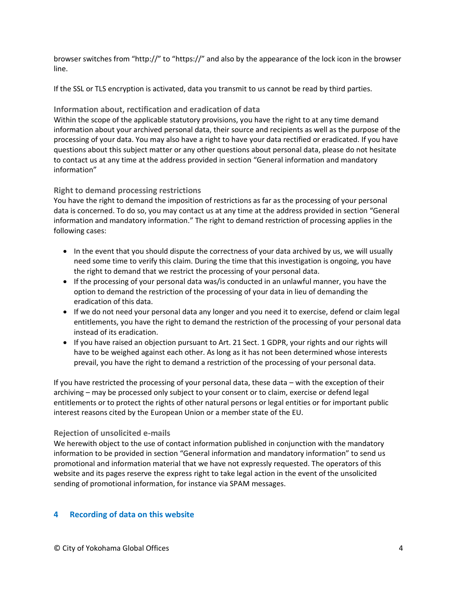browser switches from "http://" to "https://" and also by the appearance of the lock icon in the browser line.

If the SSL or TLS encryption is activated, data you transmit to us cannot be read by third parties.

## **Information about, rectification and eradication of data**

Within the scope of the applicable statutory provisions, you have the right to at any time demand information about your archived personal data, their source and recipients as well as the purpose of the processing of your data. You may also have a right to have your data rectified or eradicated. If you have questions about this subject matter or any other questions about personal data, please do not hesitate to contact us at any time at the address provided in section "General information and mandatory information"

# **Right to demand processing restrictions**

You have the right to demand the imposition of restrictions as far as the processing of your personal data is concerned. To do so, you may contact us at any time at the address provided in section "General information and mandatory information." The right to demand restriction of processing applies in the following cases:

- In the event that you should dispute the correctness of your data archived by us, we will usually need some time to verify this claim. During the time that this investigation is ongoing, you have the right to demand that we restrict the processing of your personal data.
- If the processing of your personal data was/is conducted in an unlawful manner, you have the option to demand the restriction of the processing of your data in lieu of demanding the eradication of this data.
- If we do not need your personal data any longer and you need it to exercise, defend or claim legal entitlements, you have the right to demand the restriction of the processing of your personal data instead of its eradication.
- If you have raised an objection pursuant to Art. 21 Sect. 1 GDPR, your rights and our rights will have to be weighed against each other. As long as it has not been determined whose interests prevail, you have the right to demand a restriction of the processing of your personal data.

If you have restricted the processing of your personal data, these data – with the exception of their archiving – may be processed only subject to your consent or to claim, exercise or defend legal entitlements or to protect the rights of other natural persons or legal entities or for important public interest reasons cited by the European Union or a member state of the EU.

## **Rejection of unsolicited e-mails**

We herewith object to the use of contact information published in conjunction with the mandatory information to be provided in section "General information and mandatory information" to send us promotional and information material that we have not expressly requested. The operators of this website and its pages reserve the express right to take legal action in the event of the unsolicited sending of promotional information, for instance via SPAM messages.

# **4 Recording of data on this website**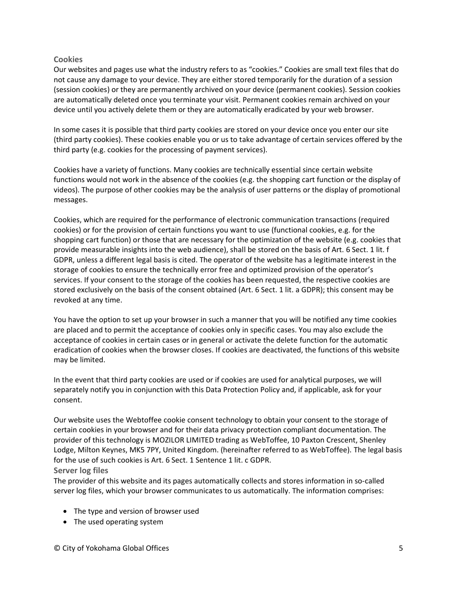# **Cookies**

Our websites and pages use what the industry refers to as "cookies." Cookies are small text files that do not cause any damage to your device. They are either stored temporarily for the duration of a session (session cookies) or they are permanently archived on your device (permanent cookies). Session cookies are automatically deleted once you terminate your visit. Permanent cookies remain archived on your device until you actively delete them or they are automatically eradicated by your web browser.

In some cases it is possible that third party cookies are stored on your device once you enter our site (third party cookies). These cookies enable you or us to take advantage of certain services offered by the third party (e.g. cookies for the processing of payment services).

Cookies have a variety of functions. Many cookies are technically essential since certain website functions would not work in the absence of the cookies (e.g. the shopping cart function or the display of videos). The purpose of other cookies may be the analysis of user patterns or the display of promotional messages.

Cookies, which are required for the performance of electronic communication transactions (required cookies) or for the provision of certain functions you want to use (functional cookies, e.g. for the shopping cart function) or those that are necessary for the optimization of the website (e.g. cookies that provide measurable insights into the web audience), shall be stored on the basis of Art. 6 Sect. 1 lit. f GDPR, unless a different legal basis is cited. The operator of the website has a legitimate interest in the storage of cookies to ensure the technically error free and optimized provision of the operator's services. If your consent to the storage of the cookies has been requested, the respective cookies are stored exclusively on the basis of the consent obtained (Art. 6 Sect. 1 lit. a GDPR); this consent may be revoked at any time.

You have the option to set up your browser in such a manner that you will be notified any time cookies are placed and to permit the acceptance of cookies only in specific cases. You may also exclude the acceptance of cookies in certain cases or in general or activate the delete function for the automatic eradication of cookies when the browser closes. If cookies are deactivated, the functions of this website may be limited.

In the event that third party cookies are used or if cookies are used for analytical purposes, we will separately notify you in conjunction with this Data Protection Policy and, if applicable, ask for your consent.

Our website uses the Webtoffee cookie consent technology to obtain your consent to the storage of certain cookies in your browser and for their data privacy protection compliant documentation. The provider of this technology is MOZILOR LIMITED trading as WebToffee, 10 Paxton Crescent, Shenley Lodge, Milton Keynes, MK5 7PY, United Kingdom. (hereinafter referred to as WebToffee). The legal basis for the use of such cookies is Art. 6 Sect. 1 Sentence 1 lit. c GDPR. **Server log files**

The provider of this website and its pages automatically collects and stores information in so-called server log files, which your browser communicates to us automatically. The information comprises:

- The type and version of browser used
- The used operating system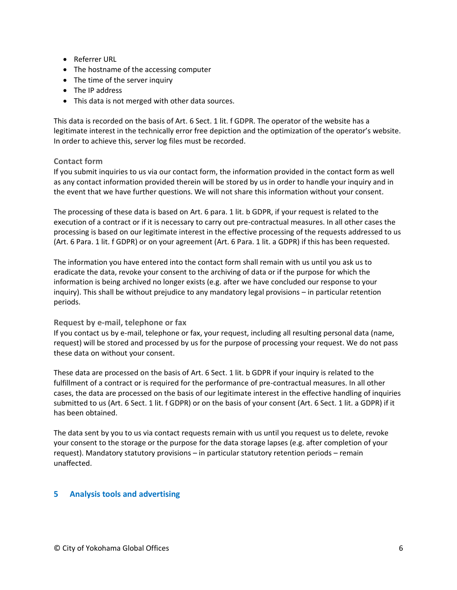- Referrer URL
- The hostname of the accessing computer
- The time of the server inquiry
- The IP address
- This data is not merged with other data sources.

This data is recorded on the basis of Art. 6 Sect. 1 lit. f GDPR. The operator of the website has a legitimate interest in the technically error free depiction and the optimization of the operator's website. In order to achieve this, server log files must be recorded.

## **Contact form**

If you submit inquiries to us via our contact form, the information provided in the contact form as well as any contact information provided therein will be stored by us in order to handle your inquiry and in the event that we have further questions. We will not share this information without your consent.

The processing of these data is based on Art. 6 para. 1 lit. b GDPR, if your request is related to the execution of a contract or if it is necessary to carry out pre-contractual measures. In all other cases the processing is based on our legitimate interest in the effective processing of the requests addressed to us (Art. 6 Para. 1 lit. f GDPR) or on your agreement (Art. 6 Para. 1 lit. a GDPR) if this has been requested.

The information you have entered into the contact form shall remain with us until you ask us to eradicate the data, revoke your consent to the archiving of data or if the purpose for which the information is being archived no longer exists (e.g. after we have concluded our response to your inquiry). This shall be without prejudice to any mandatory legal provisions – in particular retention periods.

## **Request by e-mail, telephone or fax**

If you contact us by e-mail, telephone or fax, your request, including all resulting personal data (name, request) will be stored and processed by us for the purpose of processing your request. We do not pass these data on without your consent.

These data are processed on the basis of Art. 6 Sect. 1 lit. b GDPR if your inquiry is related to the fulfillment of a contract or is required for the performance of pre-contractual measures. In all other cases, the data are processed on the basis of our legitimate interest in the effective handling of inquiries submitted to us (Art. 6 Sect. 1 lit. f GDPR) or on the basis of your consent (Art. 6 Sect. 1 lit. a GDPR) if it has been obtained.

The data sent by you to us via contact requests remain with us until you request us to delete, revoke your consent to the storage or the purpose for the data storage lapses (e.g. after completion of your request). Mandatory statutory provisions – in particular statutory retention periods – remain unaffected.

# **5 Analysis tools and advertising**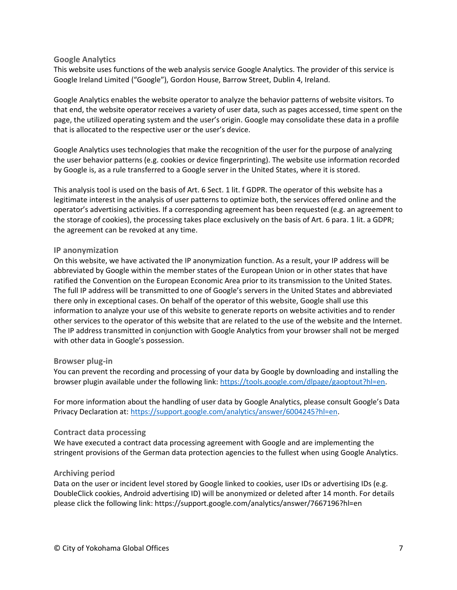#### **Google Analytics**

This website uses functions of the web analysis service Google Analytics. The provider of this service is Google Ireland Limited ("Google"), Gordon House, Barrow Street, Dublin 4, Ireland.

Google Analytics enables the website operator to analyze the behavior patterns of website visitors. To that end, the website operator receives a variety of user data, such as pages accessed, time spent on the page, the utilized operating system and the user's origin. Google may consolidate these data in a profile that is allocated to the respective user or the user's device.

Google Analytics uses technologies that make the recognition of the user for the purpose of analyzing the user behavior patterns (e.g. cookies or device fingerprinting). The website use information recorded by Google is, as a rule transferred to a Google server in the United States, where it is stored.

This analysis tool is used on the basis of Art. 6 Sect. 1 lit. f GDPR. The operator of this website has a legitimate interest in the analysis of user patterns to optimize both, the services offered online and the operator's advertising activities. If a corresponding agreement has been requested (e.g. an agreement to the storage of cookies), the processing takes place exclusively on the basis of Art. 6 para. 1 lit. a GDPR; the agreement can be revoked at any time.

## **IP anonymization**

On this website, we have activated the IP anonymization function. As a result, your IP address will be abbreviated by Google within the member states of the European Union or in other states that have ratified the Convention on the European Economic Area prior to its transmission to the United States. The full IP address will be transmitted to one of Google's servers in the United States and abbreviated there only in exceptional cases. On behalf of the operator of this website, Google shall use this information to analyze your use of this website to generate reports on website activities and to render other services to the operator of this website that are related to the use of the website and the Internet. The IP address transmitted in conjunction with Google Analytics from your browser shall not be merged with other data in Google's possession.

#### **Browser plug-in**

You can prevent the recording and processing of your data by Google by downloading and installing the browser plugin available under the following link: [https://tools.google.com/dlpage/gaoptout?hl=en.](about:blank)

For more information about the handling of user data by Google Analytics, please consult Google's Data Privacy Declaration at: [https://support.google.com/analytics/answer/6004245?hl=en.](about:blank)

## **Contract data processing**

We have executed a contract data processing agreement with Google and are implementing the stringent provisions of the German data protection agencies to the fullest when using Google Analytics.

## **Archiving period**

Data on the user or incident level stored by Google linked to cookies, user IDs or advertising IDs (e.g. DoubleClick cookies, Android advertising ID) will be anonymized or deleted after 14 month. For details please click the following link: https://support.google.com/analytics/answer/7667196?hl=en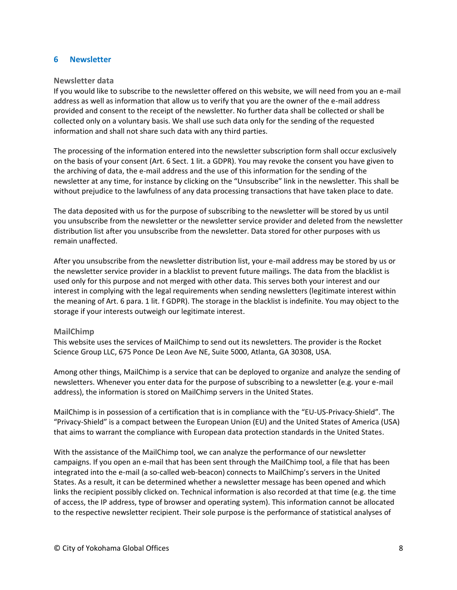## **6 Newsletter**

#### **Newsletter data**

If you would like to subscribe to the newsletter offered on this website, we will need from you an e-mail address as well as information that allow us to verify that you are the owner of the e-mail address provided and consent to the receipt of the newsletter. No further data shall be collected or shall be collected only on a voluntary basis. We shall use such data only for the sending of the requested information and shall not share such data with any third parties.

The processing of the information entered into the newsletter subscription form shall occur exclusively on the basis of your consent (Art. 6 Sect. 1 lit. a GDPR). You may revoke the consent you have given to the archiving of data, the e-mail address and the use of this information for the sending of the newsletter at any time, for instance by clicking on the "Unsubscribe" link in the newsletter. This shall be without prejudice to the lawfulness of any data processing transactions that have taken place to date.

The data deposited with us for the purpose of subscribing to the newsletter will be stored by us until you unsubscribe from the newsletter or the newsletter service provider and deleted from the newsletter distribution list after you unsubscribe from the newsletter. Data stored for other purposes with us remain unaffected.

After you unsubscribe from the newsletter distribution list, your e-mail address may be stored by us or the newsletter service provider in a blacklist to prevent future mailings. The data from the blacklist is used only for this purpose and not merged with other data. This serves both your interest and our interest in complying with the legal requirements when sending newsletters (legitimate interest within the meaning of Art. 6 para. 1 lit. f GDPR). The storage in the blacklist is indefinite. You may object to the storage if your interests outweigh our legitimate interest.

## **MailChimp**

This website uses the services of MailChimp to send out its newsletters. The provider is the Rocket Science Group LLC, 675 Ponce De Leon Ave NE, Suite 5000, Atlanta, GA 30308, USA.

Among other things, MailChimp is a service that can be deployed to organize and analyze the sending of newsletters. Whenever you enter data for the purpose of subscribing to a newsletter (e.g. your e-mail address), the information is stored on MailChimp servers in the United States.

MailChimp is in possession of a certification that is in compliance with the "EU-US-Privacy-Shield". The "Privacy-Shield" is a compact between the European Union (EU) and the United States of America (USA) that aims to warrant the compliance with European data protection standards in the United States.

With the assistance of the MailChimp tool, we can analyze the performance of our newsletter campaigns. If you open an e-mail that has been sent through the MailChimp tool, a file that has been integrated into the e-mail (a so-called web-beacon) connects to MailChimp's servers in the United States. As a result, it can be determined whether a newsletter message has been opened and which links the recipient possibly clicked on. Technical information is also recorded at that time (e.g. the time of access, the IP address, type of browser and operating system). This information cannot be allocated to the respective newsletter recipient. Their sole purpose is the performance of statistical analyses of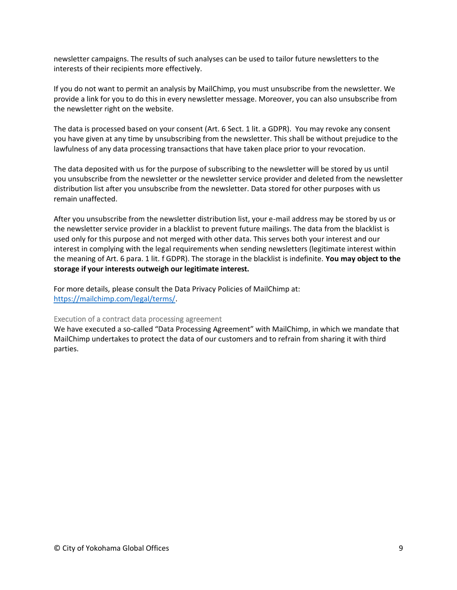newsletter campaigns. The results of such analyses can be used to tailor future newsletters to the interests of their recipients more effectively.

If you do not want to permit an analysis by MailChimp, you must unsubscribe from the newsletter. We provide a link for you to do this in every newsletter message. Moreover, you can also unsubscribe from the newsletter right on the website.

The data is processed based on your consent (Art. 6 Sect. 1 lit. a GDPR). You may revoke any consent you have given at any time by unsubscribing from the newsletter. This shall be without prejudice to the lawfulness of any data processing transactions that have taken place prior to your revocation.

The data deposited with us for the purpose of subscribing to the newsletter will be stored by us until you unsubscribe from the newsletter or the newsletter service provider and deleted from the newsletter distribution list after you unsubscribe from the newsletter. Data stored for other purposes with us remain unaffected.

After you unsubscribe from the newsletter distribution list, your e-mail address may be stored by us or the newsletter service provider in a blacklist to prevent future mailings. The data from the blacklist is used only for this purpose and not merged with other data. This serves both your interest and our interest in complying with the legal requirements when sending newsletters (legitimate interest within the meaning of Art. 6 para. 1 lit. f GDPR). The storage in the blacklist is indefinite. **You may object to the storage if your interests outweigh our legitimate interest.**

For more details, please consult the Data Privacy Policies of MailChimp at: [https://mailchimp.com/legal/terms/.](about:blank)

# Execution of a contract data processing agreement

We have executed a so-called "Data Processing Agreement" with MailChimp, in which we mandate that MailChimp undertakes to protect the data of our customers and to refrain from sharing it with third parties.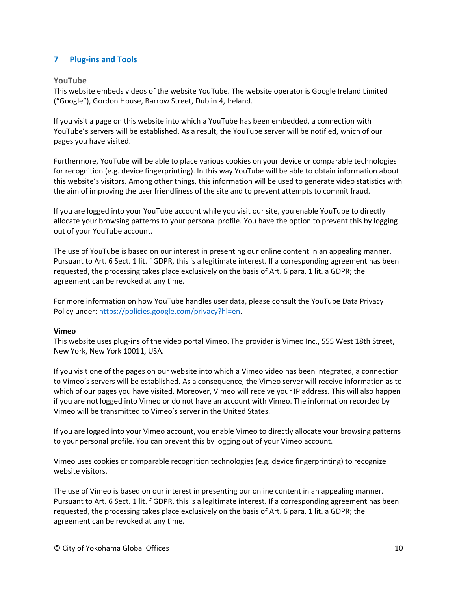# **7 Plug-ins and Tools**

#### **YouTube**

This website embeds videos of the website YouTube. The website operator is Google Ireland Limited ("Google"), Gordon House, Barrow Street, Dublin 4, Ireland.

If you visit a page on this website into which a YouTube has been embedded, a connection with YouTube's servers will be established. As a result, the YouTube server will be notified, which of our pages you have visited.

Furthermore, YouTube will be able to place various cookies on your device or comparable technologies for recognition (e.g. device fingerprinting). In this way YouTube will be able to obtain information about this website's visitors. Among other things, this information will be used to generate video statistics with the aim of improving the user friendliness of the site and to prevent attempts to commit fraud.

If you are logged into your YouTube account while you visit our site, you enable YouTube to directly allocate your browsing patterns to your personal profile. You have the option to prevent this by logging out of your YouTube account.

The use of YouTube is based on our interest in presenting our online content in an appealing manner. Pursuant to Art. 6 Sect. 1 lit. f GDPR, this is a legitimate interest. If a corresponding agreement has been requested, the processing takes place exclusively on the basis of Art. 6 para. 1 lit. a GDPR; the agreement can be revoked at any time.

For more information on how YouTube handles user data, please consult the YouTube Data Privacy Policy under[: https://policies.google.com/privacy?hl=en.](about:blank)

#### **Vimeo**

This website uses plug-ins of the video portal Vimeo. The provider is Vimeo Inc., 555 West 18th Street, New York, New York 10011, USA.

If you visit one of the pages on our website into which a Vimeo video has been integrated, a connection to Vimeo's servers will be established. As a consequence, the Vimeo server will receive information as to which of our pages you have visited. Moreover, Vimeo will receive your IP address. This will also happen if you are not logged into Vimeo or do not have an account with Vimeo. The information recorded by Vimeo will be transmitted to Vimeo's server in the United States.

If you are logged into your Vimeo account, you enable Vimeo to directly allocate your browsing patterns to your personal profile. You can prevent this by logging out of your Vimeo account.

Vimeo uses cookies or comparable recognition technologies (e.g. device fingerprinting) to recognize website visitors.

The use of Vimeo is based on our interest in presenting our online content in an appealing manner. Pursuant to Art. 6 Sect. 1 lit. f GDPR, this is a legitimate interest. If a corresponding agreement has been requested, the processing takes place exclusively on the basis of Art. 6 para. 1 lit. a GDPR; the agreement can be revoked at any time.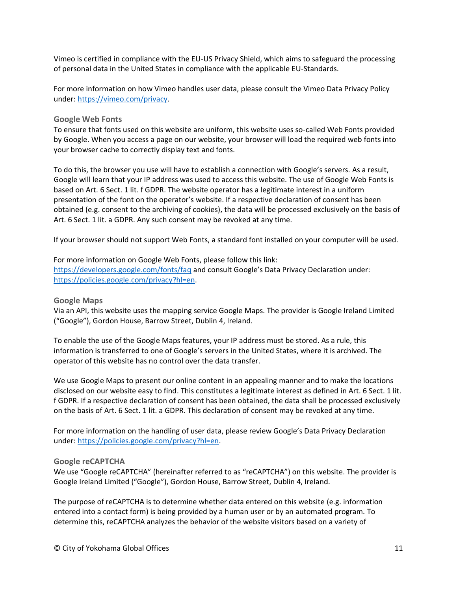Vimeo is certified in compliance with the EU-US Privacy Shield, which aims to safeguard the processing of personal data in the United States in compliance with the applicable EU-Standards.

For more information on how Vimeo handles user data, please consult the Vimeo Data Privacy Policy under: [https://vimeo.com/privacy.](about:blank)

## **Google Web Fonts**

To ensure that fonts used on this website are uniform, this website uses so-called Web Fonts provided by Google. When you access a page on our website, your browser will load the required web fonts into your browser cache to correctly display text and fonts.

To do this, the browser you use will have to establish a connection with Google's servers. As a result, Google will learn that your IP address was used to access this website. The use of Google Web Fonts is based on Art. 6 Sect. 1 lit. f GDPR. The website operator has a legitimate interest in a uniform presentation of the font on the operator's website. If a respective declaration of consent has been obtained (e.g. consent to the archiving of cookies), the data will be processed exclusively on the basis of Art. 6 Sect. 1 lit. a GDPR. Any such consent may be revoked at any time.

If your browser should not support Web Fonts, a standard font installed on your computer will be used.

For more information on Google Web Fonts, please follow this link: [https://developers.google.com/fonts/faq](about:blank) and consult Google's Data Privacy Declaration under: [https://policies.google.com/privacy?hl=en.](about:blank)

#### **Google Maps**

Via an API, this website uses the mapping service Google Maps. The provider is Google Ireland Limited ("Google"), Gordon House, Barrow Street, Dublin 4, Ireland.

To enable the use of the Google Maps features, your IP address must be stored. As a rule, this information is transferred to one of Google's servers in the United States, where it is archived. The operator of this website has no control over the data transfer.

We use Google Maps to present our online content in an appealing manner and to make the locations disclosed on our website easy to find. This constitutes a legitimate interest as defined in Art. 6 Sect. 1 lit. f GDPR. If a respective declaration of consent has been obtained, the data shall be processed exclusively on the basis of Art. 6 Sect. 1 lit. a GDPR. This declaration of consent may be revoked at any time.

For more information on the handling of user data, please review Google's Data Privacy Declaration under: [https://policies.google.com/privacy?hl=en.](about:blank)

#### **Google reCAPTCHA**

We use "Google reCAPTCHA" (hereinafter referred to as "reCAPTCHA") on this website. The provider is Google Ireland Limited ("Google"), Gordon House, Barrow Street, Dublin 4, Ireland.

The purpose of reCAPTCHA is to determine whether data entered on this website (e.g. information entered into a contact form) is being provided by a human user or by an automated program. To determine this, reCAPTCHA analyzes the behavior of the website visitors based on a variety of